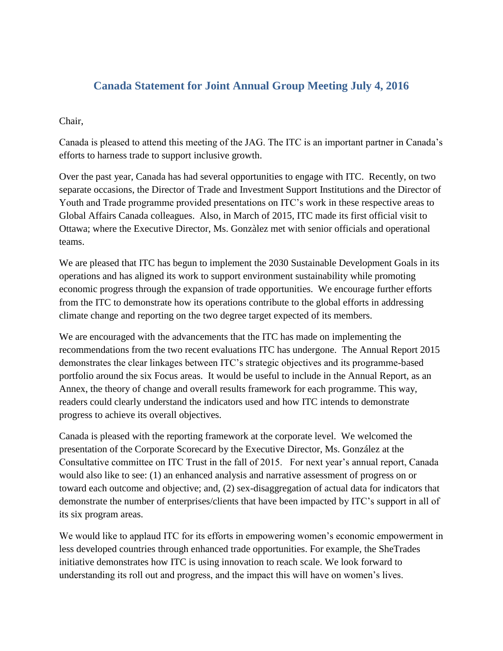## **Canada Statement for Joint Annual Group Meeting July 4, 2016**

## Chair,

Canada is pleased to attend this meeting of the JAG. The ITC is an important partner in Canada's efforts to harness trade to support inclusive growth.

Over the past year, Canada has had several opportunities to engage with ITC. Recently, on two separate occasions, the Director of Trade and Investment Support Institutions and the Director of Youth and Trade programme provided presentations on ITC's work in these respective areas to Global Affairs Canada colleagues. Also, in March of 2015, ITC made its first official visit to Ottawa; where the Executive Director, Ms. Gonzàlez met with senior officials and operational teams.

We are pleased that ITC has begun to implement the 2030 Sustainable Development Goals in its operations and has aligned its work to support environment sustainability while promoting economic progress through the expansion of trade opportunities. We encourage further efforts from the ITC to demonstrate how its operations contribute to the global efforts in addressing climate change and reporting on the two degree target expected of its members.

We are encouraged with the advancements that the ITC has made on implementing the recommendations from the two recent evaluations ITC has undergone. The Annual Report 2015 demonstrates the clear linkages between ITC's strategic objectives and its programme-based portfolio around the six Focus areas. It would be useful to include in the Annual Report, as an Annex, the theory of change and overall results framework for each programme. This way, readers could clearly understand the indicators used and how ITC intends to demonstrate progress to achieve its overall objectives.

Canada is pleased with the reporting framework at the corporate level. We welcomed the presentation of the Corporate Scorecard by the Executive Director, Ms. González at the Consultative committee on ITC Trust in the fall of 2015. For next year's annual report, Canada would also like to see: (1) an enhanced analysis and narrative assessment of progress on or toward each outcome and objective; and, (2) sex-disaggregation of actual data for indicators that demonstrate the number of enterprises/clients that have been impacted by ITC's support in all of its six program areas.

We would like to applaud ITC for its efforts in empowering women's economic empowerment in less developed countries through enhanced trade opportunities. For example, the SheTrades initiative demonstrates how ITC is using innovation to reach scale. We look forward to understanding its roll out and progress, and the impact this will have on women's lives.